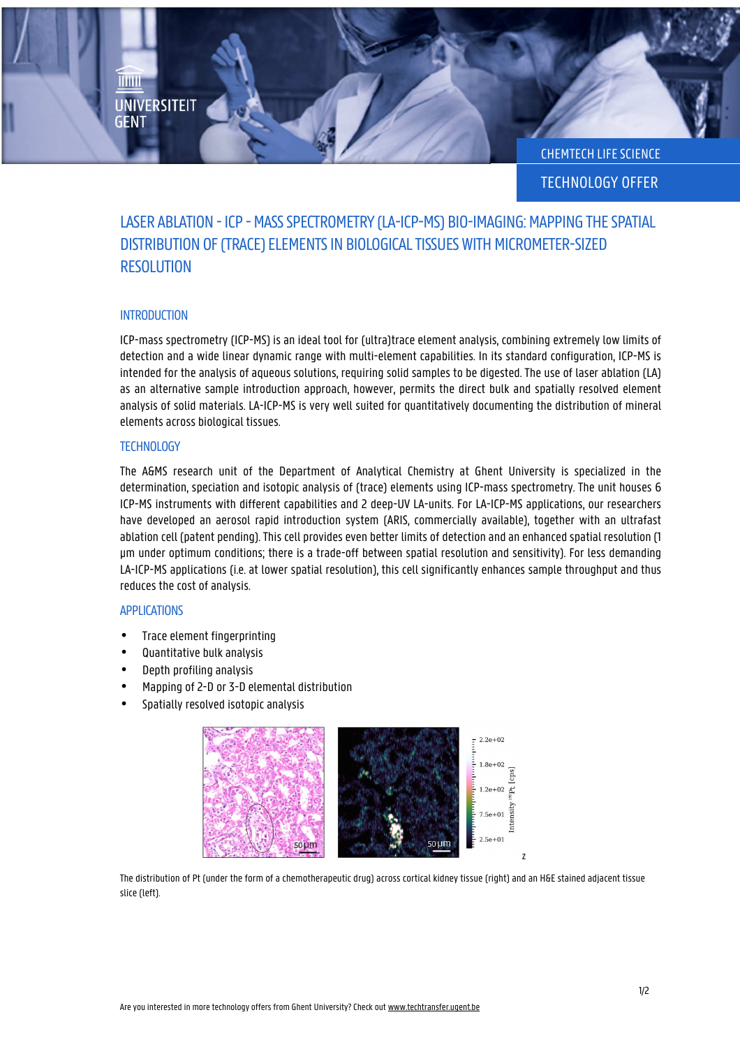CHEMTECH LIFE SCIENCE TECHNOLOGY OFFER

# LASER ABLATION - ICP - MASS SPECTROMETRY (LA-ICP-MS) BIO-IMAGING: MAPPING THE SPATIAL DISTRIBUTION OF (TRACE) ELEMENTS IN BIOLOGICAL TISSUES WITH MICROMETER-SIZED **RESOLUTION**

## **INTRODUCTION**

l

UNIVERSITEIT

**GEN1** 

ICP-mass spectrometry (ICP-MS) is an ideal tool for (ultra)trace element analysis, combining extremely low limits of detection and a wide linear dynamic range with multi-element capabilities. In its standard configuration, ICP-MS is intended for the analysis of aqueous solutions, requiring solid samples to be digested. The use of laser ablation (LA) as an alternative sample introduction approach, however, permits the direct bulk and spatially resolved element analysis of solid materials. LA-ICP-MS is very well suited for quantitatively documenting the distribution of mineral elements across biological tissues.

#### **TECHNOLOGY**

The A&MS research unit of the Department of Analytical Chemistry at Ghent University is specialized in the determination, speciation and isotopic analysis of (trace) elements using ICP-mass spectrometry. The unit houses 6 ICP-MS instruments with different capabilities and 2 deep-UV LA-units. For LA-ICP-MS applications, our researchers have developed an aerosol rapid introduction system (ARIS, commercially available), together with an ultrafast ablation cell (patent pending). This cell provides even better limits of detection and an enhanced spatial resolution (1 µm under optimum conditions; there is a trade-off between spatial resolution and sensitivity). For less demanding LA-ICP-MS applications (i.e. at lower spatial resolution), this cell significantly enhances sample throughput and thus reduces the cost of analysis.

#### APPLICATIONS

- Trace element fingerprinting
- Quantitative bulk analysis
- Depth profiling analysis
- Mapping of 2-D or 3-D elemental distribution
- Spatially resolved isotopic analysis



The distribution of Pt (under the form of a chemotherapeutic drug) across cortical kidney tissue (right) and an H&E stained adjacent tissue slice (left).